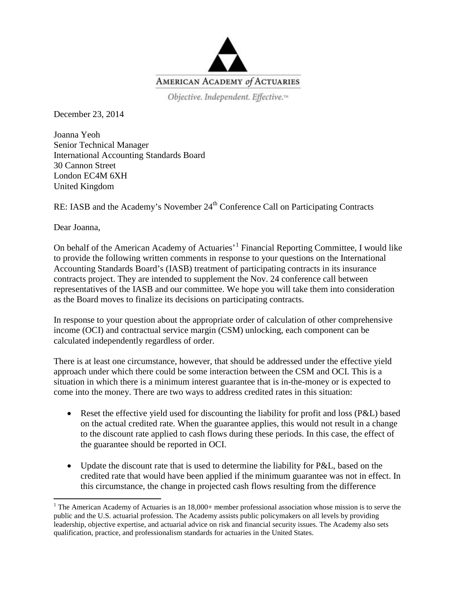

Objective. Independent. Effective.<sup>14</sup>

December 23, 2014

Joanna Yeoh Senior Technical Manager International Accounting Standards Board 30 Cannon Street London EC4M 6XH United Kingdom

RE: IASB and the Academy's November 24<sup>th</sup> Conference Call on Participating Contracts

Dear Joanna,

On behalf of the American Academy of Actuaries<sup>, [1](#page-0-0)</sup> Financial Reporting Committee, I would like to provide the following written comments in response to your questions on the International Accounting Standards Board's (IASB) treatment of participating contracts in its insurance contracts project. They are intended to supplement the Nov. 24 conference call between representatives of the IASB and our committee. We hope you will take them into consideration as the Board moves to finalize its decisions on participating contracts.

In response to your question about the appropriate order of calculation of other comprehensive income (OCI) and contractual service margin (CSM) unlocking, each component can be calculated independently regardless of order.

There is at least one circumstance, however, that should be addressed under the effective yield approach under which there could be some interaction between the CSM and OCI. This is a situation in which there is a minimum interest guarantee that is in-the-money or is expected to come into the money. There are two ways to address credited rates in this situation:

- Reset the effective yield used for discounting the liability for profit and loss (P&L) based on the actual credited rate. When the guarantee applies, this would not result in a change to the discount rate applied to cash flows during these periods. In this case, the effect of the guarantee should be reported in OCI.
- Update the discount rate that is used to determine the liability for P&L, based on the credited rate that would have been applied if the minimum guarantee was not in effect. In this circumstance, the change in projected cash flows resulting from the difference

<span id="page-0-0"></span><sup>&</sup>lt;sup>1</sup> The American Academy of Actuaries is an  $18,000+$  member professional association whose mission is to serve the public and the U.S. actuarial profession. The Academy assists public policymakers on all levels by providing leadership, objective expertise, and actuarial advice on risk and financial security issues. The Academy also sets qualification, practice, and professionalism standards for actuaries in the United States.